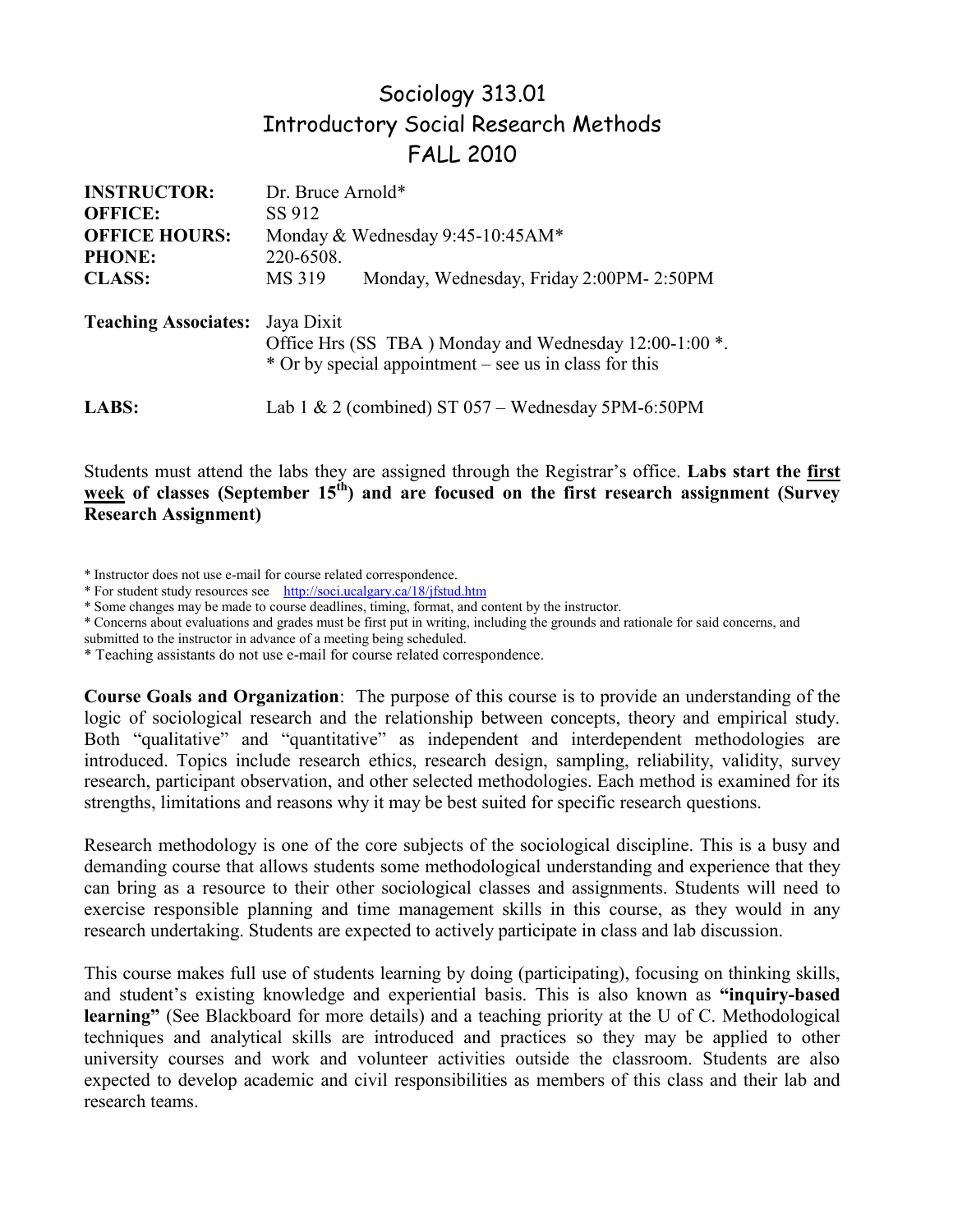# Sociology 313.01 Introductory Social Research Methods FALL 2010

| <b>INSTRUCTOR:</b>          | Dr. Bruce Arnold*                                                                                                              |
|-----------------------------|--------------------------------------------------------------------------------------------------------------------------------|
| <b>OFFICE:</b>              | SS 912                                                                                                                         |
| <b>OFFICE HOURS:</b>        | Monday & Wednesday 9:45-10:45AM*                                                                                               |
| <b>PHONE:</b>               | 220-6508.                                                                                                                      |
| <b>CLASS:</b>               | MS 319<br>Monday, Wednesday, Friday 2:00PM-2:50PM                                                                              |
| <b>Teaching Associates:</b> | Jaya Dixit<br>Office Hrs (SS TBA) Monday and Wednesday 12:00-1:00 *.<br>* Or by special appointment – see us in class for this |
| <b>LABS:</b>                | Lab 1 & 2 (combined) ST $057 -$ Wednesday 5PM-6:50PM                                                                           |

Students must attend the labs they are assigned through the Registrar's office. **Labs start the first**  week of classes (September 15<sup>th</sup>) and are focused on the first research assignment (Survey **Research Assignment)**

\* Instructor does not use e-mail for course related correspondence.

\* For student study resources see http://soci.ucalgary.ca/18/jfstud.htm

\* Some changes may be made to course deadlines, timing, format, and content by the instructor.

\* Concerns about evaluations and grades must be first put in writing, including the grounds and rationale for said concerns, and

submitted to the instructor in advance of a meeting being scheduled.

\* Teaching assistants do not use e-mail for course related correspondence.

**Course Goals and Organization**: The purpose of this course is to provide an understanding of the logic of sociological research and the relationship between concepts, theory and empirical study. Both "qualitative" and "quantitative" as independent and interdependent methodologies are introduced. Topics include research ethics, research design, sampling, reliability, validity, survey research, participant observation, and other selected methodologies. Each method is examined for its strengths, limitations and reasons why it may be best suited for specific research questions.

Research methodology is one of the core subjects of the sociological discipline. This is a busy and demanding course that allows students some methodological understanding and experience that they can bring as a resource to their other sociological classes and assignments. Students will need to exercise responsible planning and time management skills in this course, as they would in any research undertaking. Students are expected to actively participate in class and lab discussion.

This course makes full use of students learning by doing (participating), focusing on thinking skills, and student's existing knowledge and experiential basis. This is also known as **"inquiry-based learning"** (See Blackboard for more details) and a teaching priority at the U of C. Methodological techniques and analytical skills are introduced and practices so they may be applied to other university courses and work and volunteer activities outside the classroom. Students are also expected to develop academic and civil responsibilities as members of this class and their lab and research teams.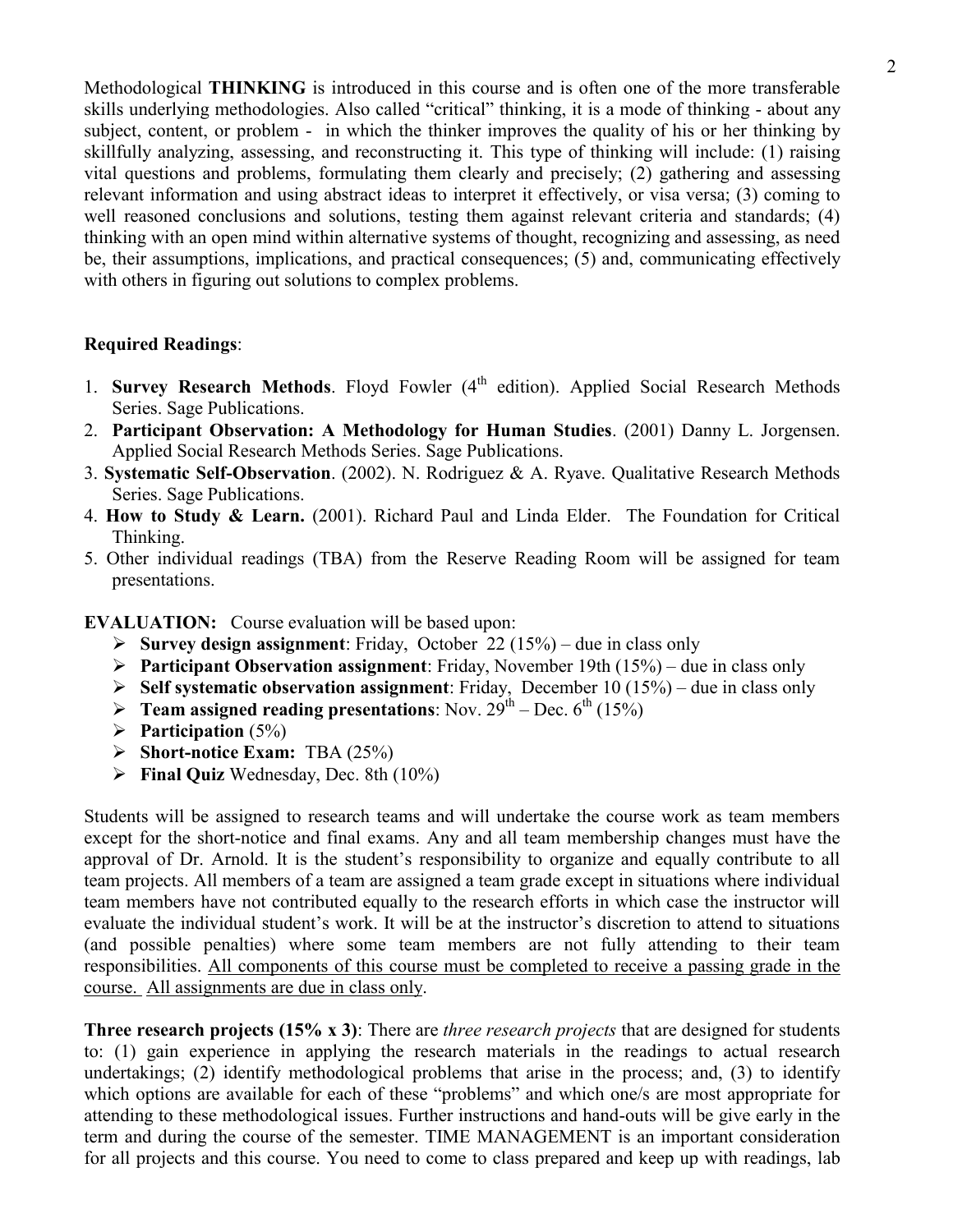Methodological **THINKING** is introduced in this course and is often one of the more transferable skills underlying methodologies. Also called "critical" thinking, it is a mode of thinking - about any subject, content, or problem - in which the thinker improves the quality of his or her thinking by skillfully analyzing, assessing, and reconstructing it. This type of thinking will include: (1) raising vital questions and problems, formulating them clearly and precisely; (2) gathering and assessing relevant information and using abstract ideas to interpret it effectively, or visa versa; (3) coming to well reasoned conclusions and solutions, testing them against relevant criteria and standards; (4) thinking with an open mind within alternative systems of thought, recognizing and assessing, as need be, their assumptions, implications, and practical consequences; (5) and, communicating effectively with others in figuring out solutions to complex problems.

## **Required Readings**:

- 1. **Survey Research Methods**. Floyd Fowler (4<sup>th</sup> edition). Applied Social Research Methods Series. Sage Publications.
- 2. **Participant Observation: A Methodology for Human Studies**. (2001) Danny L. Jorgensen. Applied Social Research Methods Series. Sage Publications.
- 3. **Systematic Self-Observation**. (2002). N. Rodriguez & A. Ryave. Qualitative Research Methods Series. Sage Publications.
- 4. **How to Study & Learn.** (2001). Richard Paul and Linda Elder. The Foundation for Critical Thinking.
- 5. Other individual readings (TBA) from the Reserve Reading Room will be assigned for team presentations.

**EVALUATION:** Course evaluation will be based upon:

- **Survey design assignment**: Friday, October 22 (15%) due in class only
- **Participant Observation assignment**: Friday, November 19th (15%) due in class only
- **Self systematic observation assignment**: Friday, December 10 (15%) due in class only
- **Feam assigned reading presentations:** Nov.  $29^{th}$  Dec.  $6^{th}$  (15%)
- **Participation** (5%)
- **Short-notice Exam:** TBA (25%)
- **Final Quiz** Wednesday, Dec. 8th (10%)

Students will be assigned to research teams and will undertake the course work as team members except for the short-notice and final exams. Any and all team membership changes must have the approval of Dr. Arnold. It is the student's responsibility to organize and equally contribute to all team projects. All members of a team are assigned a team grade except in situations where individual team members have not contributed equally to the research efforts in which case the instructor will evaluate the individual student's work. It will be at the instructor's discretion to attend to situations (and possible penalties) where some team members are not fully attending to their team responsibilities. All components of this course must be completed to receive a passing grade in the course. All assignments are due in class only.

**Three research projects (15% x 3)**: There are *three research projects* that are designed for students to: (1) gain experience in applying the research materials in the readings to actual research undertakings; (2) identify methodological problems that arise in the process; and, (3) to identify which options are available for each of these "problems" and which one/s are most appropriate for attending to these methodological issues. Further instructions and hand-outs will be give early in the term and during the course of the semester. TIME MANAGEMENT is an important consideration for all projects and this course. You need to come to class prepared and keep up with readings, lab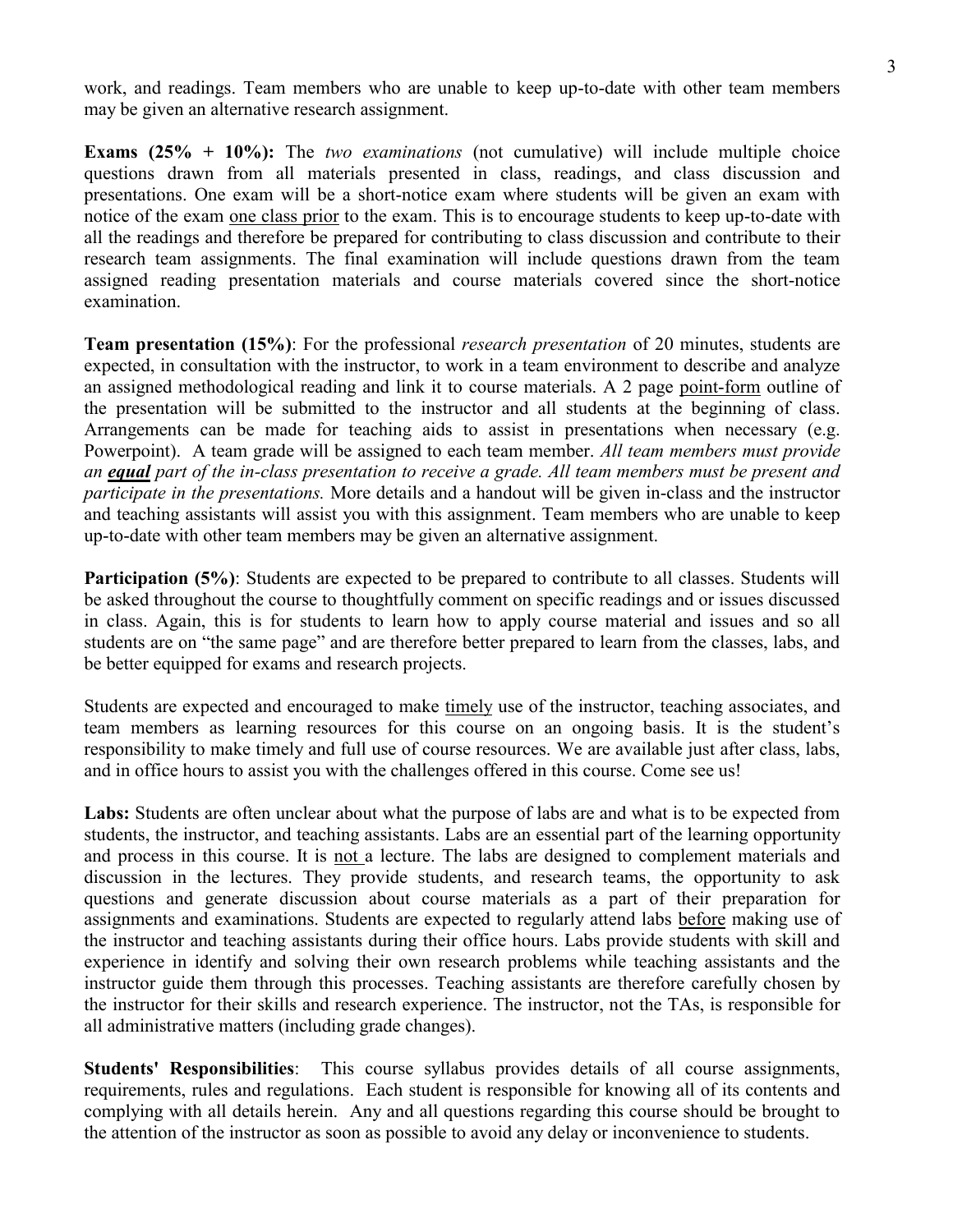work, and readings. Team members who are unable to keep up-to-date with other team members may be given an alternative research assignment.

**Exams (25% + 10%):** The *two examinations* (not cumulative) will include multiple choice questions drawn from all materials presented in class, readings, and class discussion and presentations. One exam will be a short-notice exam where students will be given an exam with notice of the exam one class prior to the exam. This is to encourage students to keep up-to-date with all the readings and therefore be prepared for contributing to class discussion and contribute to their research team assignments. The final examination will include questions drawn from the team assigned reading presentation materials and course materials covered since the short-notice examination.

**Team presentation (15%)**: For the professional *research presentation* of 20 minutes, students are expected, in consultation with the instructor, to work in a team environment to describe and analyze an assigned methodological reading and link it to course materials. A 2 page point-form outline of the presentation will be submitted to the instructor and all students at the beginning of class. Arrangements can be made for teaching aids to assist in presentations when necessary (e.g. Powerpoint). A team grade will be assigned to each team member. *All team members must provide an equal part of the in-class presentation to receive a grade. All team members must be present and participate in the presentations.* More details and a handout will be given in-class and the instructor and teaching assistants will assist you with this assignment. Team members who are unable to keep up-to-date with other team members may be given an alternative assignment.

**Participation (5%)**: Students are expected to be prepared to contribute to all classes. Students will be asked throughout the course to thoughtfully comment on specific readings and or issues discussed in class. Again, this is for students to learn how to apply course material and issues and so all students are on "the same page" and are therefore better prepared to learn from the classes, labs, and be better equipped for exams and research projects.

Students are expected and encouraged to make timely use of the instructor, teaching associates, and team members as learning resources for this course on an ongoing basis. It is the student's responsibility to make timely and full use of course resources. We are available just after class, labs, and in office hours to assist you with the challenges offered in this course. Come see us!

Labs: Students are often unclear about what the purpose of labs are and what is to be expected from students, the instructor, and teaching assistants. Labs are an essential part of the learning opportunity and process in this course. It is not a lecture. The labs are designed to complement materials and discussion in the lectures. They provide students, and research teams, the opportunity to ask questions and generate discussion about course materials as a part of their preparation for assignments and examinations. Students are expected to regularly attend labs before making use of the instructor and teaching assistants during their office hours. Labs provide students with skill and experience in identify and solving their own research problems while teaching assistants and the instructor guide them through this processes. Teaching assistants are therefore carefully chosen by the instructor for their skills and research experience. The instructor, not the TAs, is responsible for all administrative matters (including grade changes).

**Students' Responsibilities**: This course syllabus provides details of all course assignments, requirements, rules and regulations. Each student is responsible for knowing all of its contents and complying with all details herein. Any and all questions regarding this course should be brought to the attention of the instructor as soon as possible to avoid any delay or inconvenience to students.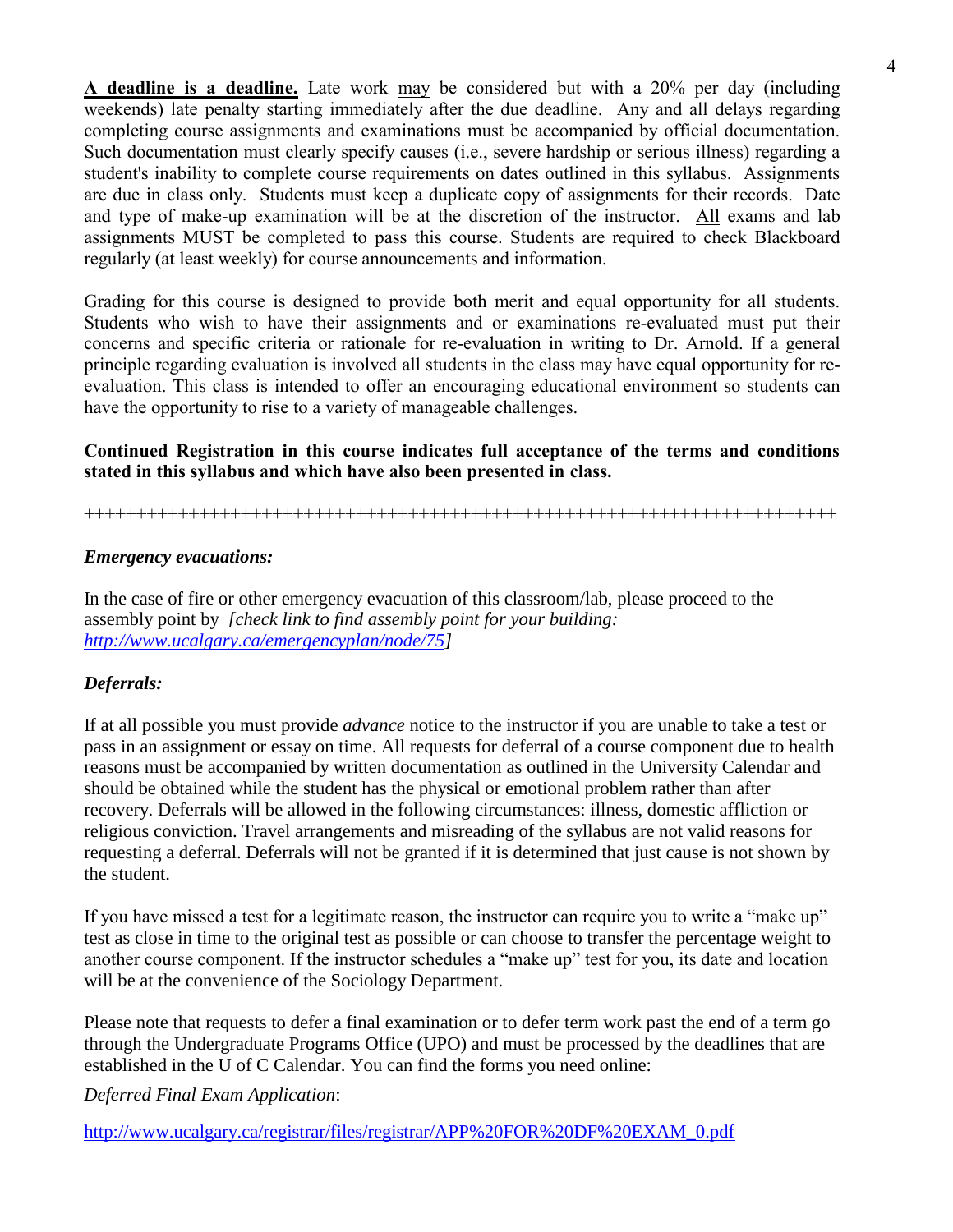**A deadline is a deadline.** Late work may be considered but with a 20% per day (including weekends) late penalty starting immediately after the due deadline. Any and all delays regarding completing course assignments and examinations must be accompanied by official documentation. Such documentation must clearly specify causes (i.e., severe hardship or serious illness) regarding a student's inability to complete course requirements on dates outlined in this syllabus. Assignments are due in class only. Students must keep a duplicate copy of assignments for their records. Date and type of make-up examination will be at the discretion of the instructor. All exams and lab assignments MUST be completed to pass this course. Students are required to check Blackboard regularly (at least weekly) for course announcements and information.

Grading for this course is designed to provide both merit and equal opportunity for all students. Students who wish to have their assignments and or examinations re-evaluated must put their concerns and specific criteria or rationale for re-evaluation in writing to Dr. Arnold. If a general principle regarding evaluation is involved all students in the class may have equal opportunity for reevaluation. This class is intended to offer an encouraging educational environment so students can have the opportunity to rise to a variety of manageable challenges.

# **Continued Registration in this course indicates full acceptance of the terms and conditions stated in this syllabus and which have also been presented in class.**

++++++++++++++++++++++++++++++++++++++++++++++++++++++++++++++++++++++++

#### *Emergency evacuations:*

In the case of fire or other emergency evacuation of this classroom/lab, please proceed to the assembly point by *[check link to find assembly point for your building: [http://www.ucalgary.ca/emergencyplan/node/75\]](http://www.ucalgary.ca/emergencyplan/node/75)*

#### *Deferrals:*

If at all possible you must provide *advance* notice to the instructor if you are unable to take a test or pass in an assignment or essay on time. All requests for deferral of a course component due to health reasons must be accompanied by written documentation as outlined in the University Calendar and should be obtained while the student has the physical or emotional problem rather than after recovery. Deferrals will be allowed in the following circumstances: illness, domestic affliction or religious conviction. Travel arrangements and misreading of the syllabus are not valid reasons for requesting a deferral. Deferrals will not be granted if it is determined that just cause is not shown by the student.

If you have missed a test for a legitimate reason, the instructor can require you to write a "make up" test as close in time to the original test as possible or can choose to transfer the percentage weight to another course component. If the instructor schedules a "make up" test for you, its date and location will be at the convenience of the Sociology Department.

Please note that requests to defer a final examination or to defer term work past the end of a term go through the Undergraduate Programs Office (UPO) and must be processed by the deadlines that are established in the U of C Calendar. You can find the forms you need online:

*Deferred Final Exam Application*:

[http://www.ucalgary.ca/registrar/files/registrar/APP%20FOR%20DF%20EXAM\\_0.pdf](http://www.ucalgary.ca/registrar/files/registrar/APP%20FOR%20DF%20EXAM_0.pdf)